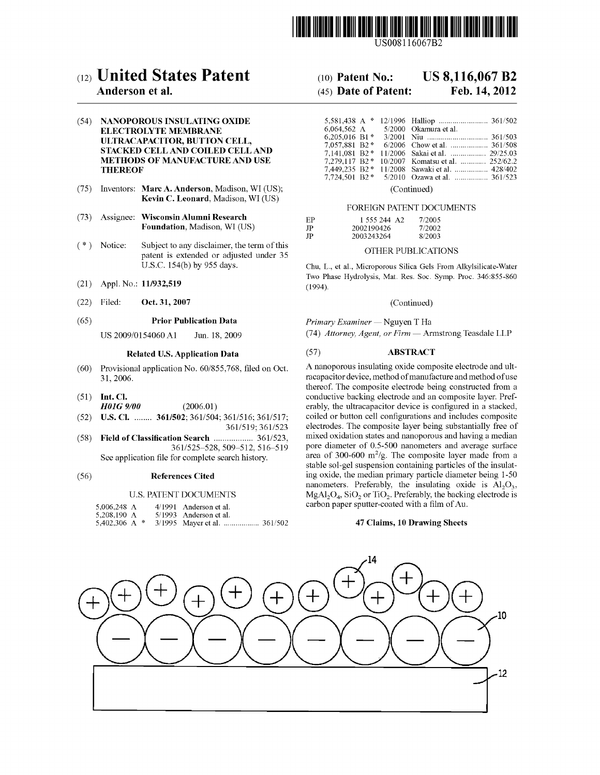

US008116067B2

# c12) **United States Patent**

## **Anderson et al.**

#### (54) **NANOPOROUS INSULATING OXIDE ELECTROLYTE MEMBRANE ULTRACAPACITOR, BUTTON CELL, STACKED CELL AND COILED CELL AND METHODS OF MANUFACTURE AND USE THEREOF**

- (75) Inventors: **Marc A. Anderson,** Madison, WI (US); **Kevin C. Leonard,** Madison, WI (US)
- (73) Assignee: **Wisconsin Alumni Research Foundation,** Madison, WI (US)
- $(* )$  Notice: Subject to any disclaimer, the term of this patent is extended or adjusted under 35 U.S.C. 154(b) by 955 days.
- (21) Appl. No.: **11/932,519**
- (22) Filed: **Oct. 31, 2007**

#### (65) **Prior Publication Data**

US 2009/0154060Al Jun. 18,2009

#### **Related U.S. Application Data**

- (60) Provisional application No. 60/855,768, filed on Oct. 31, 2006.
- (51) **Int. Cl.**

*H0JG 9/00* (2006.01)

- (52) **U.S. Cl.** ........ **361/502;** 361/504; 361/516; 361/517; 361/519; 361/523
- (58) **Field of Classification Search** .................. 361/523, 361/525-528,509-512, 516-519 See application file for complete search history.

#### (56) **References Cited**

#### U.S. PATENT DOCUMENTS

| 5.006.248 A | 4/1991 Anderson et al.   |
|-------------|--------------------------|
| 5.208.190 A | $5/1993$ Anderson et al. |
|             |                          |

# (10) **Patent No.: US 8,116,067 B2**

# (45) **Date of Patent: Feb.14,2012**

|                             |  | 6.064.562 A 5/2000 Okamura et al. |
|-----------------------------|--|-----------------------------------|
| $6.205.016$ B1 <sup>*</sup> |  |                                   |
| 7,057,881 B2 *              |  |                                   |
| 7.141.081 B2*               |  | 11/2006 Sakai et al.  29/25.03    |
| $7.279.117 B2*$             |  | 10/2007 Komatsu et al.  252/62.2  |
|                             |  |                                   |
|                             |  |                                   |
|                             |  |                                   |

(Continued)

#### FOREIGN PATENT DOCUMENTS

| EP   | 1 555 244 A <sub>2</sub> | 7/2005 |
|------|--------------------------|--------|
| JP.  | 2002190426               | 7/2002 |
| - IP | 2003243264               | 8/2003 |

#### OTHER PUBLICATIONS

Chu, L., et al., Microporous Silica Gels From Alkylsilicate-Water Two Phase Hydrolysis, Mat. Res. Soc. Symp. Proc. 346:855-860 (1994).

(Continued)

Primary Examiner - Nguyen T Ha (74) Attorney, Agent, or Firm - Armstrong Teasdale LLP

#### (57) **ABSTRACT**

A nanoporous insulating oxide composite electrode and ultracapacitor device, method of manufacture and method of use thereof. The composite electrode being constructed from a conductive backing electrode and an composite layer. Preferably, the ultracapacitor device is configured in a stacked, coiled or button cell configurations and includes composite electrodes. The composite layer being substantially free of mixed oxidation states and nanoporous and having a median pore diameter of 0.5-500 nanometers and average surface area of 300-600  $\mathrm{m}^2/\mathrm{g}$ . The composite layer made from a stable sol-gel suspension containing particles of the insulating oxide, the median primary particle diameter being 1-50 nanometers. Preferably, the insulating oxide is  $\text{Al}_2\text{O}_3$ ,  $MgAl<sub>2</sub>O<sub>4</sub>$ ,  $SiO<sub>2</sub>$  or  $TiO<sub>2</sub>$ . Preferably, the backing electrode is carbon paper sputter-coated with a film of Au.

#### **47 Claims, 10 Drawing Sheets**

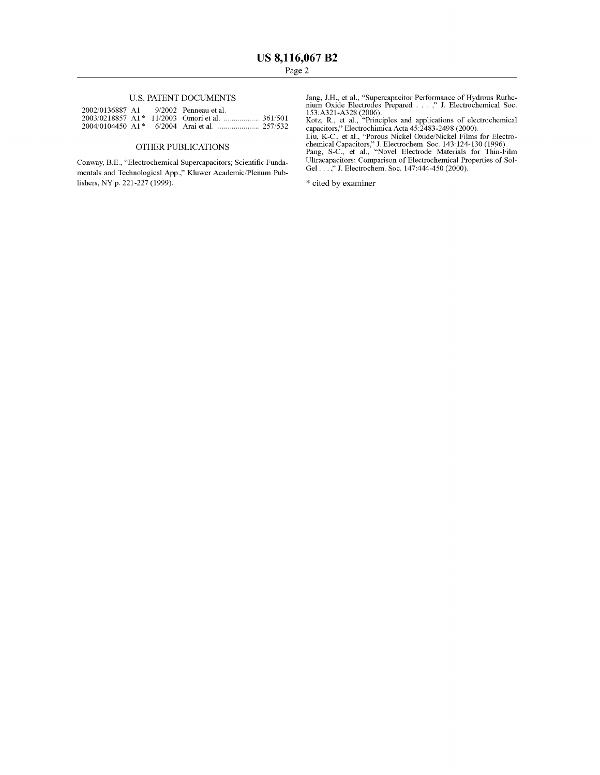#### U.S. PATENT DOCUMENTS

| 2002/0136887 A1 9/2002 Penneau et al. |  |  |
|---------------------------------------|--|--|
|                                       |  |  |
|                                       |  |  |

#### OTHER PUBLICATIONS

Conway, B.E., "Electrochemical Supercapacitors; Scientific Fundamentals and Technological App.," Kluwer Academic/Plenum Publishers, NY p. 221-227 (1999).

Jang, J.H., et al., "Supercapacitor Performance of Hydrous Ruthe-<br>nium Oxide Electrodes Prepared . . . ," J. Electrochemical Soc.<br>153:A321-A328 (2006).<br>Kotz, R., et al., "Principles and applications of electrochemical

capacitors," Electrochimica Acta 45:2483-2498 (2000).

Liu, K-C., et al., "Porous Nickel Oxide/Nickel Films for Electro-chemical Capacitors," J. Electrochem. Soc. 143: 124-130 (1996). Pang, S-C., et al., "Novel Electrode Materials for Thin-Film Ultracapacitors: Comparison of Electrochemical Properties of Sol-Gel . . . ," J. Electrochem. Soc. 147:444-450 (2000).

\* cited by examiner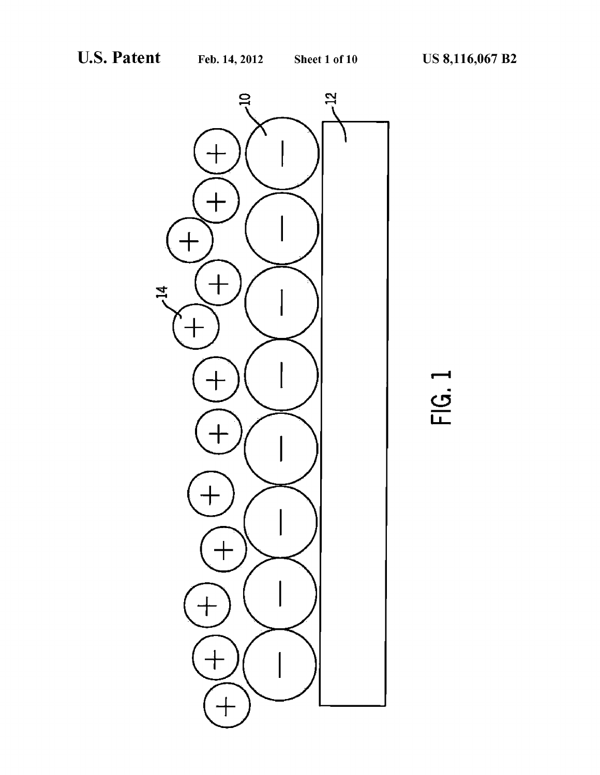

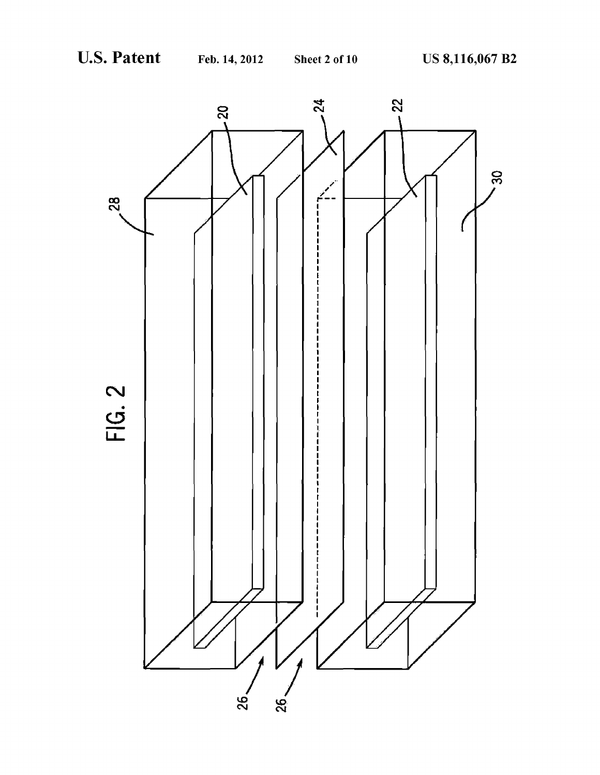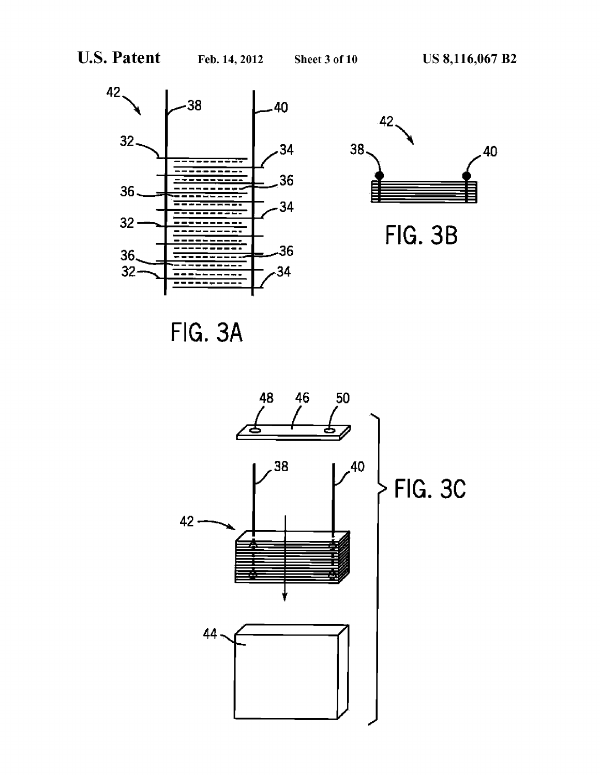



FIG. 38

FIG. 3A

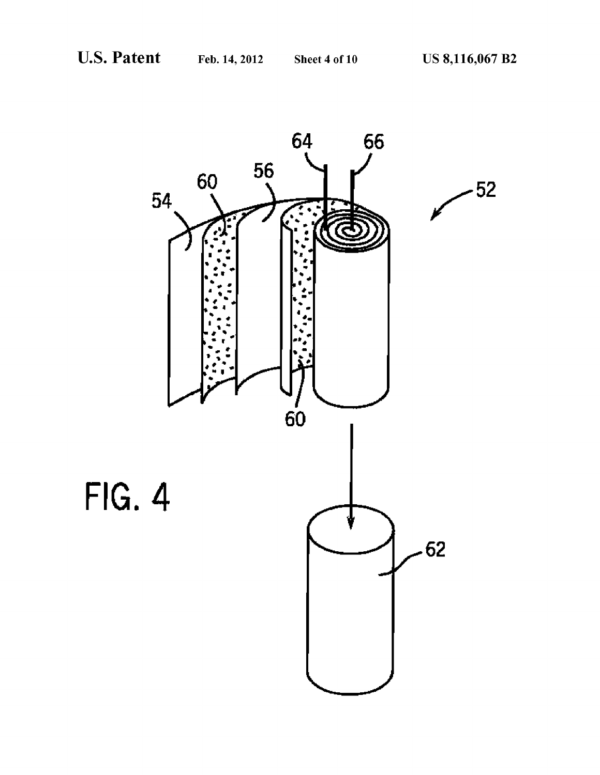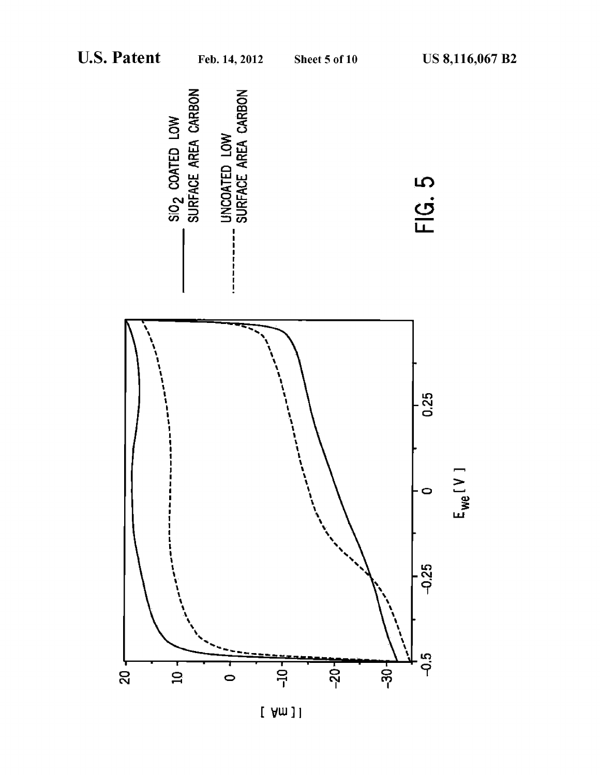

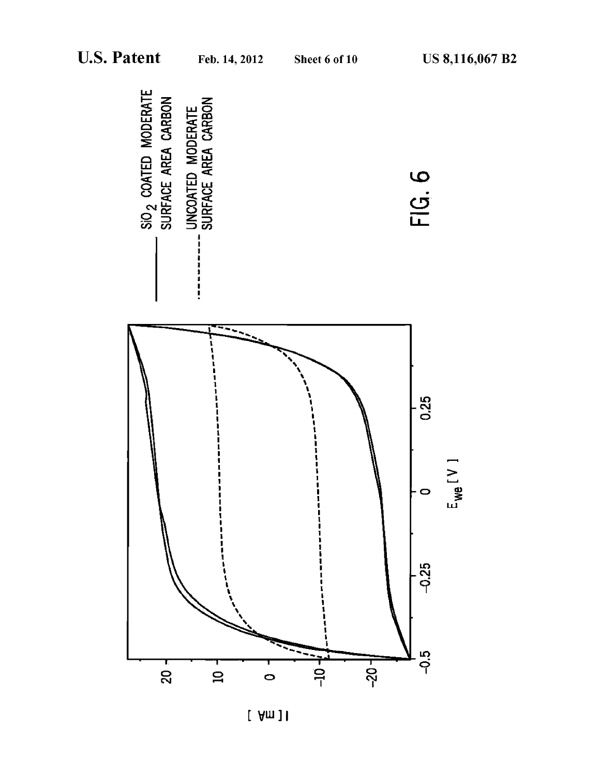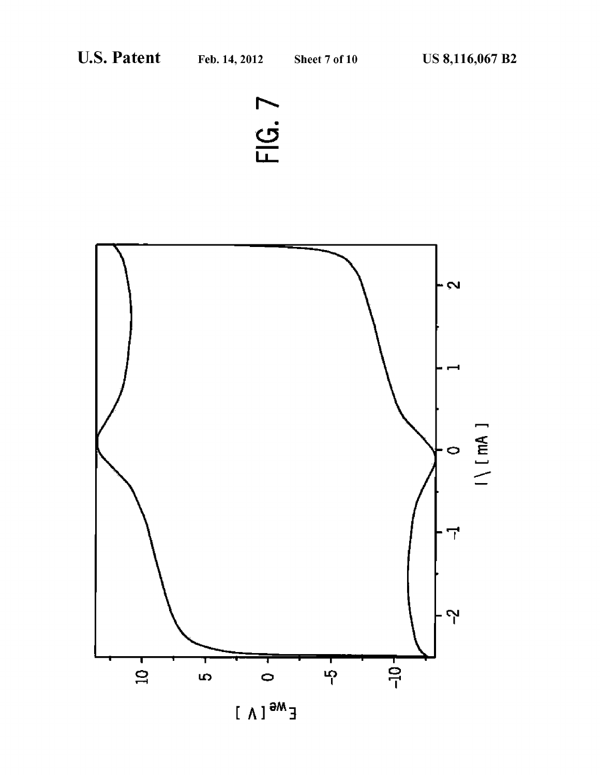



 $E^{M\Theta}$ [A]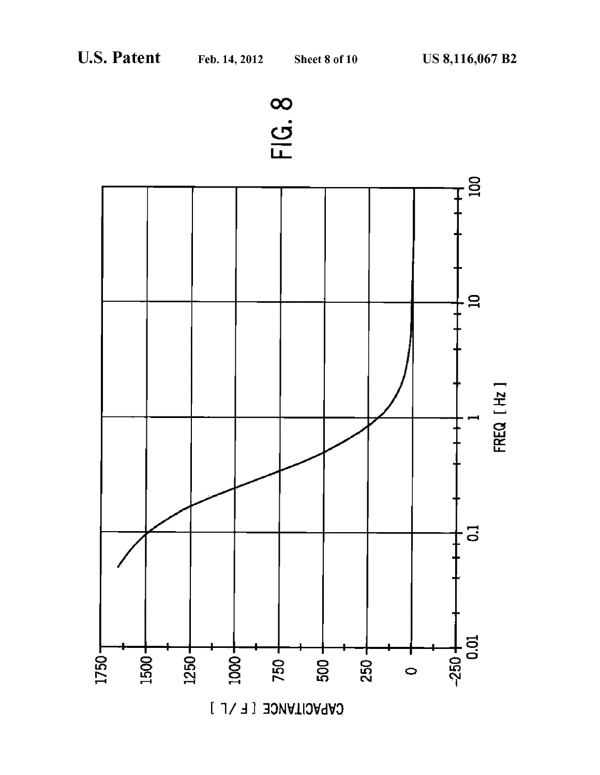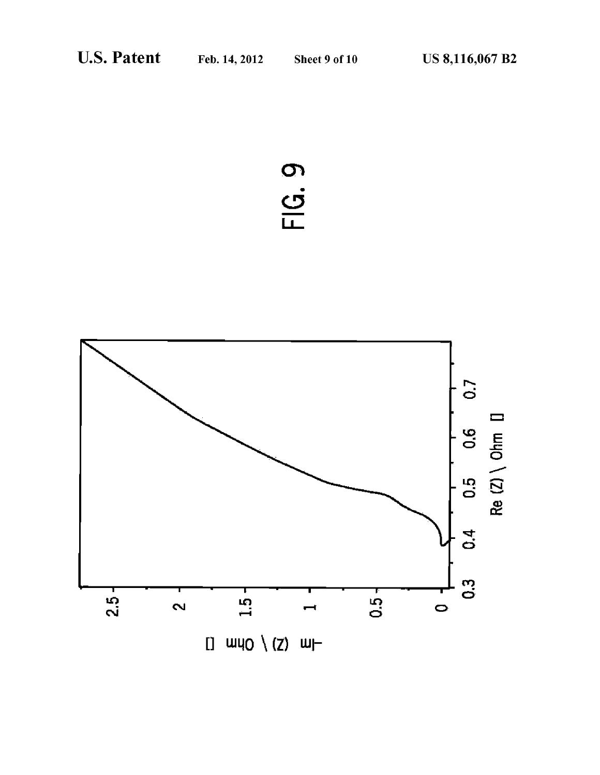# FIG. 9

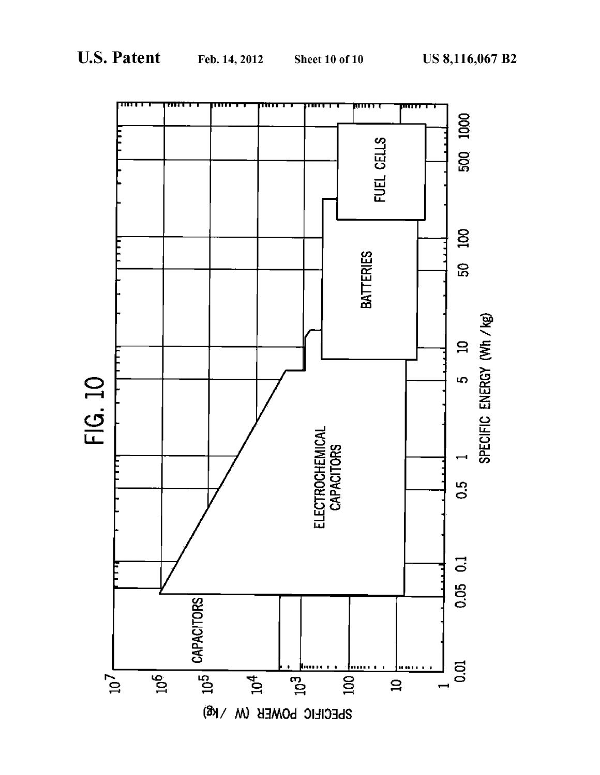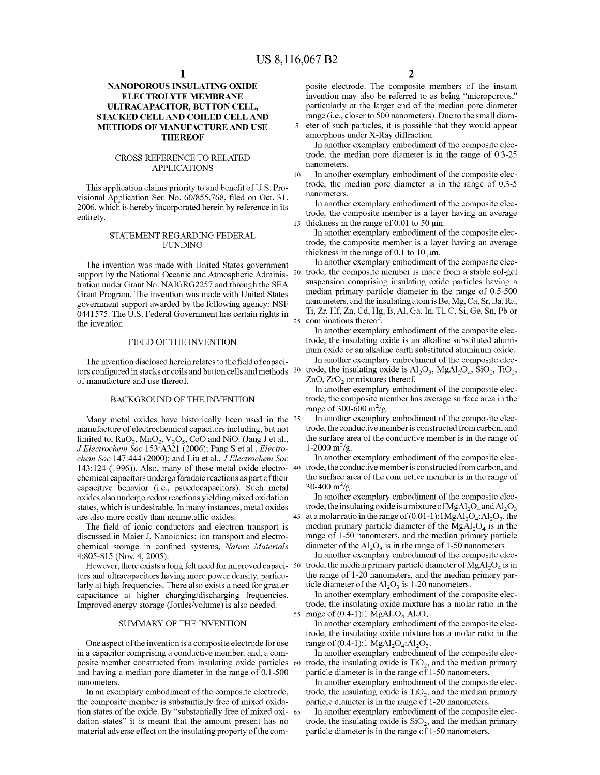## **NANOPOROUS INSULATING OXIDE ELECTROLYTE MEMBRANE ULTRACAPACITOR, BUTTON CELL, STACKED CELL AND COILED CELL AND METHODS OF MANUFACTURE AND USE THEREOF**

## CROSS REFERENCE TO RELATED APPLICATIONS

This application claims priority to and benefit ofU.S. Provisional Application Ser. No. 60/855,768, filed on Oct. 31, 2006, which is hereby incorporated herein by reference in its entirety.

#### STATEMENT REGARDING FEDERAL FUNDING

The invention was made with United States government support by the National Oceanic and Atmospheric Administration under Grant No. NAIGRG2257 and through the SEA Grant Program. The invention was made with United States government support awarded by the following agency: NSF 0441575. The U.S. Federal Government has certain rights in the invention.

#### FIELD OF THE INVENTION

The invention disclosed herein relates to the field of capacitors configured in stacks or coils and button cells and methods <sup>30</sup> of manufacture and use thereof.

#### BACKGROUND OF THE INVENTION

Many metal oxides have historically been used in the 35 manufacture of electrochemical capacitors including, but not limited to,  $RuO<sub>2</sub>$ ,  $MnO<sub>2</sub>$ ,  $V<sub>2</sub>O<sub>5</sub>$ , CoO and NiO. (Jang J et al., *J Electrochem Soc* 153:A321 (2006); Pang S et al., *Electro-* 1-2000 m<sup>2</sup>/g. *chem Soc* 147:444 (2000); and Liu et al., *J Electrochem Soc*  143: 124 (1996)). Also, many of these metal oxide electro-40 trade, the conductive member is constructed from carbon, and chemical capacitors undergo faradaic reactions as part of their capacitive behavior (i.e., psuedocapacitors). Such metal oxides also undergo redox reactions yielding mixed oxidation states, which is undesirable. In many instances, metal oxides are also more costly than nonmetallic oxides.

The field of ionic conductors and electron transport is discussed in Maier J, Nanoionics: ion transport and electrochemical storage in confined systems, *Nature Materials*  4:805-815 (Nov. 4, 2005).

However, there exists a long felt need for improved capaci- 50 tors and ultracapacitors having more power density, particularly at high frequencies. There also exists a need for greater capacitance at higher charging/discharging frequencies. Improved energy storage (Joules/volume) is also needed.

#### SUMMARY OF THE INVENTION

One aspect of the invention is a composite electrode for use in a capacitor comprising a conductive member, and, a composite member constructed from insulating oxide particles and having a median pore diameter in the range of 0.1-500 nanometers.

In an exemplary embodiment of the composite electrode, the composite member is substantially free of mixed oxidation states of the oxide. By "substantially free of mixed oxi- <sup>65</sup> dation states" it is meant that the amount present has no material adverse effect on the insulating property of the com-

posite electrode. The composite members of the instant invention may also be referred to as being "microporous," particularly at the larger end of the median pore diameter range (i.e., closer to 500 nanometers). Due to the small diam-5 eter of such particles, it is possible that they would appear amorphous under X-Ray diffraction.

In another exemplary embodiment of the composite electrode, the median pore diameter is in the range of 0.3-25 nanometers.

10 In another exemplary embodiment of the composite electrode, the median pore diameter is in the range of 0.3-5 nanometers.

In another exemplary embodiment of the composite electrode, the composite member is a layer having an average 15 thickness in the range of 0.01 to 50  $\mu$ m.

In another exemplary embodiment of the composite electrode, the composite member is a layer having an average thickness in the range of 0.1 to 10  $\mu$ m.

In another exemplary embodiment of the composite elec-20 trode, the composite member is made from a stable sol-gel suspension comprising insulating oxide particles having a median primary particle diameter in the range of 0.5-500 nanometers, and the insulating atom is Be, Mg, Ca, Sr, Ba, Ra, Ti, Zr, Hf, Zn, Cd, Hg, B, Al, Ga, In, Tl, C, Si, Ge, Sn, Pb or 25 combinations thereof.

In another exemplary embodiment of the composite electrode, the insulating oxide is an alkaline substituted aluminum oxide or an alkaline earth substituted aluminum oxide.

In another exemplary embodiment of the composite electrode, the insulating oxide is  $\text{Al}_2\text{O}_3$ ,  $\text{MgAl}_2\text{O}_4$ ,  $\text{SiO}_2$ ,  $\text{TiO}_2$ , ZnO, ZrO<sub>2</sub> or mixtures thereof.

In another exemplary embodiment of the composite electrode, the composite member has average surface area in the range of 300-600 m<sup>2</sup>/g.

In another exemplary embodiment of the composite electrode, the conductive member is constructed from carbon, and the surface area of the conductive member is in the range of

In another exemplary embodiment of the composite electhe surface area of the conductive member is in the range of  $30-400 \text{ m}^2/\text{g}$ .

In another exemplary embodiment of the composite electrode, the insulating oxide is a mixture of  $MgAl<sub>2</sub>O<sub>4</sub>$  and  $Al<sub>2</sub>O<sub>3</sub>$ 45 at a molar ratio in the range of  $(0.01-1)$ :  $1\text{MgAl}_2\text{O}_4$ :  $\text{Al}_2\text{O}_3$ , the median primary particle diameter of the  $MgAl<sub>2</sub>O<sub>4</sub>$  is in the range of 1-50 nanometers, and the median primary particle diameter of the  $Al_2O_3$  is in the range of 1-50 nanometers.

In another exemplary embodiment of the composite electrode, the median primary particle diameter of  $MgAl<sub>2</sub>O<sub>4</sub>$  is in the range of 1-20 nanometers, and the median primary particle diameter of the  $Al_2O_3$  is 1-20 nanometers.

In another exemplary embodiment of the composite electrode, the insulating oxide mixture has a molar ratio in the 55 range of  $(0.4-1)$ :1 MgAl<sub>2</sub>O<sub>4</sub>:Al<sub>2</sub>O<sub>3</sub>.

In another exemplary embodiment of the composite electrode, the insulating oxide mixture has a molar ratio in the range of  $(0.4-1)$ :1 MgAl<sub>2</sub>O<sub>4</sub>:Al<sub>2</sub>O<sub>3</sub>.

In another exemplary embodiment of the composite electrode, the insulating oxide is  $TiO<sub>2</sub>$ , and the median primary particle diameter is in the range of 1-50 nanometers.

In another exemplary embodiment of the composite electrode, the insulating oxide is  $TiO<sub>2</sub>$ , and the median primary particle diameter is in the range of 1-20 nanometers.

In another exemplary embodiment of the composite electrode, the insulating oxide is  $SiO<sub>2</sub>$ , and the median primary particle diameter is in the range of 1-50 nanometers.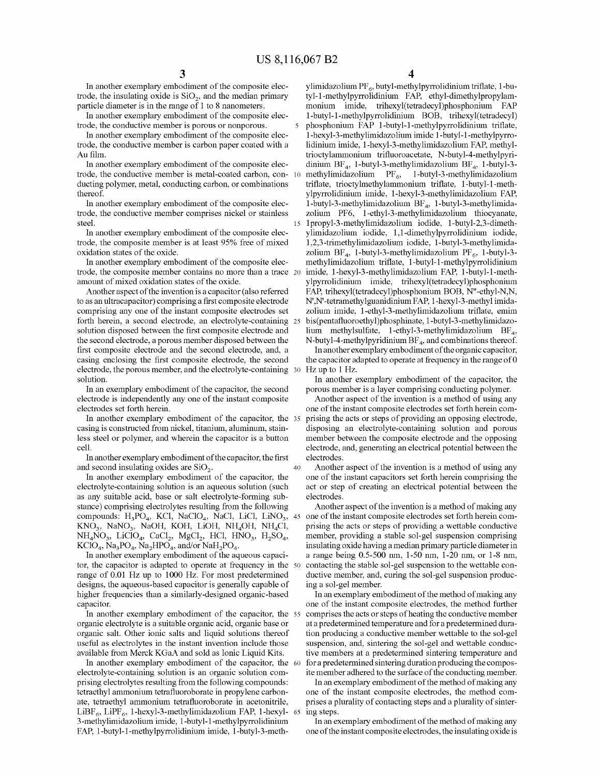40

In another exemplary embodiment of the composite electrode, the insulating oxide is  $SiO<sub>2</sub>$ , and the median primary particle diameter is in the range of 1 to 8 nanometers.

trode, the conductive member is porous or nonporous.

In another exemplary embodiment of the composite electrode, the conductive member is carbon paper coated with a Au film.

In another exemplary embodiment of the composite electrode, the conductive member is metal-coated carbon, conducting polymer, metal, conducting carbon, or combinations thereof.

In another exemplary embodiment of the composite electrode, the conductive member comprises nickel or stainless steel.

In another exemplary embodiment of the composite electrode, the composite member is at least 95% free of mixed oxidation states of the oxide.

In another exemplary embodiment of the composite electrode, the composite member contains no more than a trace 20 amount of mixed oxidation states of the oxide.

Another aspect of the invention is a capacitor (also referred to as an ultracapacitor) comprising a first composite electrode comprising any one of the instant composite electrodes set forth herein, a second electrode, an electrolyte-containing 25 solution disposed between the first composite electrode and the second electrode, a porous member disposed between the first composite electrode and the second electrode, and, a casing enclosing the first composite electrode, the second electrode, the porous member, and the electrolyte-containing solution.

In an exemplary embodiment of the capacitor, the second electrode is independently any one of the instant composite electrodes set forth herein.

In another exemplary embodiment of the capacitor, the 35 casing is constructed from nickel, titanium, aluminum, stainless steel or polymer, and wherein the capacitor is a button cell.

In another exemplary embodiment of the capacitor, the first and second insulating oxides are  $SiO<sub>2</sub>$ .

In another exemplary embodiment of the capacitor, the electrolyte-containing solution is an aqueous solution (such as any suitable acid, base or salt electrolyte-forming substance) comprising electrolytes resulting from the following compounds:  $H_3PO_4$ , KCl, NaClO<sub>4</sub>, NaCl, LiCl, LiNO<sub>3</sub>, 45  $KNO_3$ , NaNO<sub>3</sub>, NaOH, KOH, LiOH, NH<sub>4</sub>OH, NH<sub>4</sub>Cl,  $NH_4NO_3$ , LiClO<sub>4</sub>, CaCl<sub>2</sub>, MgCl<sub>2</sub>, HCl, HNO<sub>3</sub>, H<sub>2</sub>SO<sub>4</sub>,  $KClO<sub>4</sub>$ , Na<sub>3</sub>PO<sub>4</sub>, Na<sub>2</sub>HPO<sub>4</sub>, and/or NaH<sub>2</sub>PO<sub>4</sub>.

In another exemplary embodiment of the aqueous capacitor, the capacitor is adapted to operate at frequency in the 50 range of 0.01 Hz up to 1000 Hz. For most predetermined designs, the aqueous-based capacitor is generally capable of higher frequencies than a similarly-designed organic-based capacitor.

In another exemplary embodiment of the capacitor, the 55 organic electrolyte is a suitable organic acid, organic base or organic salt. Other ionic salts and liquid solutions thereof useful as electrolytes in the instant invention include those available from Merck KGaA and sold as Ionic Liquid Kits.

In another exemplary embodiment of the capacitor, the 60 electrolyte-containing solution is an organic solution comprising electrolytes resulting from the following compounds: tetraethyl ammonium tetrafluoroborate in propylene carbonate, tetraethyl ammonium tetrafluoroborate in acetonitrile, LiBF<sub>6</sub>, LiPF<sub>6</sub>, 1-hexyl-3-methylimidazolium FAP, 1-hexyl- 65 3-methylimidazolium imide, l-butyl-1-methylpyrrolidinium FAP, l-butyl-1-methylpyrrolidinium imide, l-butyl-3-meth**4** 

ylimidazolium PF $_6$ , butyl-methylpyrrolidinium triflate, 1-butyl-1-methylpyrrolidinium FAP, ethyl-dimethylpropylammonium imide, trihexyl(tetradecyl)phosphonium FAP In another exemplary embodiment of the composite elec- l-butyl-1-methylpyrrolidinium BOB, trihexyl(tetradecyl) 5 phosphonium FAP l-butyl-1-methylpyrrolidinium triflate, l-hexyl-3-methylimidazolium imide l-butyl-1-methylpyrrolidinium imide, l-hexyl-3-methylimidazolium FAP, methyltrioctylammonium trifluoroacetate, N-butyl-4-methylpyridinium BF<sub>4</sub>, 1-butyl-3-methylimidazolium BF<sub>4</sub>, 1-butyl-3methylimidazolium PF $_6$ , 1-butyl-3-methylimidazolium triflate, trioctylmethylammonium triflate, l-butyl-1-methylpyrrolidinium imide, l-hexyl-3-methylimidazolium FAP, 1-butyl-3-methylimidazolium  $BF_4$ , 1-butyl-3-methylimidazolium PF6, l-ethyl-3-methylimidazolium thiocyanate, 15 1 propyl-3-methylimidazolium iodide, l-butyl-2,3-dimethylimidazolium iodide, 1,1-dimethylpyrrolidinium iodide, 1,2,3-trimethylimidazolium iodide, l-butyl-3-methylimidazolium  $BF_4$ , 1-butyl-3-methylimidazolium  $PF_6$ , 1-butyl-3methylimidazolium triflate, l-butyl-1-methylpyrrolidinium imide, l-hexyl-3-methylimidazolium FAP, l-butyl-1-methylpyrrolidinium imide, trihexyl(tetradecyl)phosphonium FAP, trihexyl(tetradecyl)phosphonium BOB, N"-ethyl-N,N, N',N'-tetramethylguanidiniumFAP, l-hexyl-3-methyl imidazolium imide, l-ethyl-3-methylimidazolium triflate, emim 25 bis(pentafluoroethyl)phosphinate, l-butyl-3-methylimidazolium methylsulfate, 1-ethyl-3-methylimidazolium  $BF_4$ , N-butyl-4-methylpyridinium  $BF_4$ , and combinations thereof.

> In another exemplary embodiment of the organic capacitor, the capacitor adapted to operate at frequency in the range of0 Hz up to 1 Hz.

In another exemplary embodiment of the capacitor, the porous member is a layer comprising conducting polymer.

Another aspect of the invention is a method of using any one of the instant composite electrodes set forth herein comprising the acts or steps of providing an opposing electrode, disposing an electrolyte-containing solution and porous member between the composite electrode and the opposing electrode, and, generating an electrical potential between the electrodes.

Another aspect of the invention is a method of using any one of the instant capacitors set forth herein comprising the act or step of creating an electrical potential between the electrodes.

Another aspect of the invention is a method of making any one of the instant composite electrodes set forth herein comprising the acts or steps of providing a wettable conductive member, providing a stable sol-gel suspension comprising insulating oxide having a median primary particle diameter in a range being 0.5-500 nm, 1-50 nm, 1-20 nm, or 1-8 nm, contacting the stable sol-gel suspension to the wettable conductive member, and, curing the sol-gel suspension producing a sol-gel member.

In an exemplary embodiment of the method of making any one of the instant composite electrodes, the method further comprises the acts or steps of heating the conductive member at a predetermined temperature and for a predetermined duration producing a conductive member wettable to the sol-gel suspension, and, sintering the sol-gel and wettable conductive members at a predetermined sintering temperature and for a predetermined sintering duration producing the composite member adhered to the surface of the conducting member.

In an exemplary embodiment of the method of making any one of the instant composite electrodes, the method comprises a plurality of contacting steps and a plurality of sintering steps.

In an exemplary embodiment of the method of making any one of the instant composite electrodes, the insulating oxide is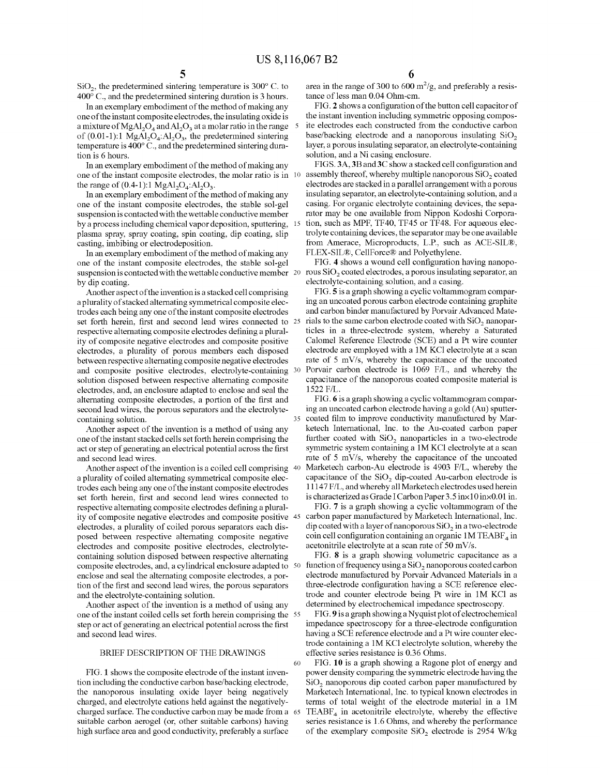$SiO<sub>2</sub>$ , the predetermined sintering temperature is 300 $^{\circ}$  C. to 400° C., and the predetermined sintering duration is 3 hours.

In an exemplary embodiment of the method of making any one of the instant composite electrodes, the insulating oxide is a mixture of MgAl<sub>2</sub>O<sub>4</sub> and Al<sub>2</sub>O<sub>3</sub> at a molar ratio in the range of  $(0.01-1)$ :1 MgAl<sub>2</sub>O<sub>4</sub>:Al<sub>2</sub>O<sub>3</sub>, the predetermined sintering temperature is 400° C., and the predetermined sintering duration is 6 hours.

In an exemplary embodiment of the method of making any one of the instant composite electrodes, the molar ratio is in 10 the range of  $(0.4-1)$ : 1 MgAl<sub>2</sub>O<sub>4</sub>:Al<sub>2</sub>O<sub>3</sub>.

In an exemplary embodiment of the method of making any one of the instant composite electrodes, the stable sol-gel suspension is contacted with the wettable conductive member by a process including chemical vapor deposition, sputtering, 15 plasma spray, spray coating, spin coating, dip coating, slip casting, imbibing or electrodeposition.

In an exemplary embodiment of the method of making any one of the instant composite electrodes, the stable sol-gel suspension is contacted with the wettable conductive member 20 rous  $SiO<sub>2</sub>$  coated electrodes, a porous insulating separator, an by dip coating.

Another aspect of the invention is a stacked cell comprising a plurality of stacked alternating symmetrical composite electrodes each being any one of the instant composite electrodes set forth herein, first and second lead wires connected to 25 respective alternating composite electrodes defining a plurality of composite negative electrodes and composite positive electrodes, a plurality of porous members each disposed between respective alternating composite negative electrodes and composite positive electrodes, electrolyte-containing 30 solution disposed between respective alternating composite electrodes, and, an enclosure adapted to enclose and seal the alternating composite electrodes, a portion of the first and second lead wires, the porous separators and the electrolytecontaining solution.  $\overline{35}$  coated film to improve conductivity manufactured by Mar-

Another aspect of the invention is a method of using any one of the instant stacked cells set forth herein comprising the act or step of generating an electrical potential across the first and second lead wires.

Another aspect of the invention is a coiled cell comprising 40 a plurality of coiled alternating symmetrical composite electrodes each being any one of the instant composite electrodes set forth herein, first and second lead wires connected to respective alternating composite electrodes defining a plurality of composite negative electrodes and composite positive electrodes, a plurality of coiled porous separators each disposed between respective alternating composite negative electrodes and composite positive electrodes, electrolytecontaining solution disposed between respective alternating composite electrodes, and, a cylindrical enclosure adapted to enclose and seal the alternating composite electrodes, a portion of the first and second lead wires, the porous separators and the electrolyte-containing solution.

Another aspect of the invention is a method of using any one of the instant coiled cells set forth herein comprising the 55 step or act of generating an electrical potential across the first and second lead wires.

FIG. **1** shows the composite electrode of the instant invention including the conductive carbon base/backing electrode, the nanoporous insulating oxide layer being negatively charged, and electrolyte cations held against the negativelycharged surface. The conductive carbon may be made from a suitable carbon aerogel (or, other suitable carbons) having high surface area and good conductivity, preferably a surface

area in the range of 300 to 600  $\text{m}^2/\text{g}$ , and preferably a resistance of less man 0.04 Ohm-cm.

FIG. **2** shows a configuration of the button cell capacitor of the instant invention including symmetric opposing composite electrodes each constructed from the conductive carbon base/backing electrode and a nanoporous insulating  $SiO<sub>2</sub>$ layer, a porous insulating separator, an electrolyte-containing solution, and a Ni casing enclosure.

FIGS. **3A, 3B** and3C show a stacked cell configuration and assembly thereof, whereby multiple nanoporous  $SiO<sub>2</sub>$  coated electrodes are stacked in a parallel arrangement with a porous insulating separator, an electrolyte-containing solution, and a casing. For organic electrolyte containing devices, the separator may be one available from Nippon Kodoshi Corporation, such as MPF, TF40, TF45 or TF48. For aqueous electrolyte containing devices, the separator may be one available from Amerace, Microproducts, L.P., such as ACE-SIL®, FLEX-SIL®, CellForce® and Polyethylene.

FIG. **4** shows a wound cell configuration having nanopoelectrolyte-containing solution, and a casing.

FIG. **5** is a graph showing a cyclic voltammogram comparing an uncoated porous carbon electrode containing graphite and carbon binder manufactured by Porvair Advanced Materials to the same carbon electrode coated with  $SiO<sub>2</sub>$  nanoparticles in a three-electrode system, whereby a Saturated Calomel Reference Electrode (SCE) and a Pt wire counter electrode are employed with a 1M KCl electrolyte at a scan rate of 5 mV/s, whereby the capacitance of the uncoated Porvair carbon electrode is 1069 F/L, and whereby the capacitance of the nanoporous coated composite material is 1522 FIL.

FIG. **6** is a graph showing a cyclic voltammogram comparing an uncoated carbon electrode having a gold (Au) sputterketech International, Inc. to the Au-coated carbon paper further coated with  $SiO<sub>2</sub>$  nanoparticles in a two-electrode symmetric system containing a 1M KCl electrolyte at a scan rate of 5 mV/s, whereby the capacitance of the uncoated Marketech carbon-Au electrode is 4903 F/L, whereby the capacitance of the  $SiO<sub>2</sub>$  dip-coated Au-carbon electrode is 11147 F/L, and whereby all Marketech electrodes used herein is characterized as Grade I Carbon Paper 3. 5 inx 10 inx0. 01 in.

FIG. **7** is a graph showing a cyclic voltammogram of the carbon paper manufactured by Marketech International, Inc. dip coated with a layer of nanoporous  $SiO<sub>2</sub>$  in a two-electrode coin cell configuration containing an organic  $1M TEABF<sub>4</sub>$  in acetonitrile electrolyte at a scan rate of 50 mV/s.

FIG. **8** is a graph showing volumetric capacitance as a function of frequency using a  $SiO<sub>2</sub>$  nanoporous coated carbon electrode manufactured by Porvair Advanced Materials in a three-electrode configuration having a SCE reference electrode and counter electrode being Pt wire in IM KC! as determined by electrochemical impedance spectroscopy.

FIG. **9** is a graph showing a Nyquist plot of electrochemical impedance spectroscopy for a three-electrode configuration having a SCE reference electrode and a Pt wire counter electrode containing a IM KC! electrolyte solution, whereby the BRIEF DESCRIPTION OF THE DRAWINGS effective series resistance is 0.36 Ohms.

> 60 FIG. **10** is a graph showing a Ragone plot of energy and power density comparing the symmetric electrode having the SiO<sub>2</sub> nanoporous dip coated carbon paper manufactured by Marketech International, Inc. to typical known electrodes in terms of total weight of the electrode material in a IM  $TEABF<sub>4</sub>$  in acetonitrile electrolyte, whereby the effective series resistance is 1.6 Ohms, and whereby the performance of the exemplary composite  $SiO<sub>2</sub>$  electrode is 2954 W/kg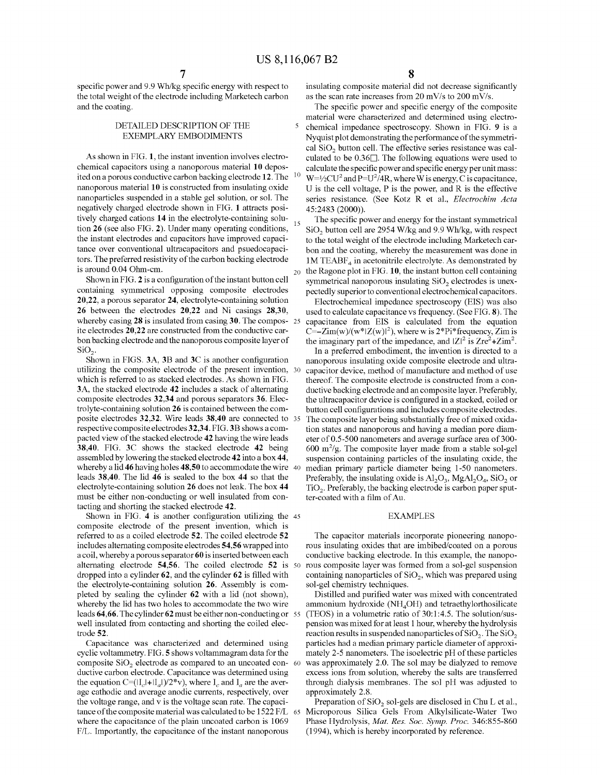specific power and 9 .9 Wh/kg specific energy with respect to the total weight of the electrode including Marketech carbon and the coating.

## DETAILED DESCRIPTION OF THE EXEMPLARY EMBODIMENTS

As shown in FIG. **1,** the instant invention involves electrochemical capacitors using a nanoporous material **10** deposited on a porous conductive carbon backing electrode **12.** The nanoporous material **10** is constructed from insulating oxide nanoparticles suspended in a stable gel solution, or sol. The negatively charged electrode shown in FIG. **1** attracts positively charged cations **14** in the electrolyte-containing solution **26** (see also FIG. **2**). Under many operating conditions, the instant electrodes and capacitors have improved capacitance over conventional ultracapacitors and psuedocapacitors. The preferred resistivity of the carbon backing electrode is around 0.04 Ohm-cm.

Shown in FIG. **2** is a configuration of the instant button cell containing symmetrical opposing composite electrodes **20,22,** a porous separator **24,** electrolyte-containing solution **26** between the electrodes **20,22** and Ni casings **28,30,**  whereby casing 28 is insulated from casing 30. The compos- 25 ite electrodes **20,22** are constructed from the conductive carbon backing electrode and the nanoporous composite layer of  $SiO<sub>2</sub>$ .

Shown in FIGS. **3A, 3B** and **3C** is another configuration utilizing the composite electrode of the present invention, which is referred to as stacked electrodes. As shown in FIG. **3A,** the stacked electrode **42** includes a stack of alternating composite electrodes **32,34** and porous separators **36.** Electrolyte-containing solution **26** is contained between the composite electrodes **32,32.** Wire leads **38,40** are connected to respective composite electrodes **32,34.** FIG. **3B** shows a compacted view of the stacked electrode **42** having the wire leads **38,40.** FIG. **3C** shows the stacked electrode **42** being assembled by lowering the stacked electrode **42** into a box **44,**  whereby a lid **46** having holes **48,50** to accommodate the wire leads **38,40.** The lid **46** is sealed to the box **44** so that the electrolyte-containing solution **26** does not leak. The box **44**  must be either non-conducting or well insulated from contacting and shorting the stacked electrode **42.** 

Shown in FIG. 4 is another configuration utilizing the 45 EXAMPLES composite electrode of the present invention, which is referred to as a coiled electrode **52.** The coiled electrode **52**  includes alternating composite electrodes **54,56** wrapped into a coil, whereby a porous separator **60** is inserted between each alternating electrode **54,56.** The coiled electrode **52** is dropped into a cylinder **62,** and the cylinder **62** is filled with the electrolyte-containing solution **26.** Assembly is completed by sealing the cylinder **62** with a lid (not shown), whereby the lid has two holes to accommodate the two wire leads **64,66.** The cylinder **62** must be either non-conducting or well insulated from contacting and shorting the coiled electrode **52.** 

Capacitance was characterized and determined using cyclic voltammetry. FIG. **5** shows voltammagram data for the composite  $SiO<sub>2</sub>$  electrode as compared to an uncoated con-60 ductive carbon electrode. Capacitance was determined using the equation C=( $\frac{|I_c|+|I_a|}{2*}$ v), where  $I_c$  and  $I_a$  are the average cathodic and average anodic currents, respectively, over the voltage range, and v is the voltage scan rate. The capacitance of the composite material was calculated to be 1522 F/L where the capacitance of the plain uncoated carbon is 1069 FIL. Importantly, the capacitance of the instant nanoporous

insulating composite material did not decrease significantly as the scan rate increases from 20 mV/s to 200 mV/s.

The specific power and specific energy of the composite material were characterized and determined using electro-5 chemical impedance spectroscopy. Shown in FIG. **9** is a Nyquist plot demonstrating the performance of the symmetrical SiO<sub>2</sub> button cell. The effective series resistance was calculated to be  $0.36\Box$ . The following equations were used to calculate the specific power and specific energy per unit mass:<br><sup>10</sup> W=½CU<sup>2</sup> and P=U<sup>2</sup>/4R, where W is energy, C is capacitance, U is the cell voltage, P is the power, and R is the effective series resistance. (See Kotz R et al., *Electrochim Acta*  45:2483 (2000)).

The specific power and energy for the instant symmetrical SiO<sub>2</sub> button cell are 2954 W/kg and 9.9 Wh/kg, with respect to the total weight of the electrode including Marketech carbon and the coating, whereby the measurement was done in  $1M$  TEABF<sub>4</sub> in acetonitrile electrolyte. As demonstrated by 20 the Ragone plot in FIG. **10,** the instant button cell containing symmetrical nanoporous insulating  $SiO<sub>2</sub>$  electrodes is unexpectedly superior to conventional electrochemical capacitors.

Electrochemical impedance spectroscopy (EIS) was also used to calculate capacitance vs frequency. (See FIG. **8).** The capacitance from EIS is calculated from the equation C= $-Zim(w)/(w^*|Z(w)|^2)$ , where w is 2<sup>\*</sup>Pi<sup>\*</sup>frequency, Zim is the imaginary part of the impedance, and  $|Z|^2$  is  $Zre^2 + Zim^2$ .

In a preferred embodiment, the invention is directed to a nanoporous insulating oxide composite electrode and ultracapacitor device, method of manufacture and method of use thereof. The composite electrode is constructed from a conductive backing electrode and an composite layer. Preferably, the ultracapacitor device is configured in a stacked, coiled or button cell configurations and includes composite electrodes. The composite layer being substantially free of mixed oxidation states and nanoporous and having a median pore diameter of 0.5-500 nanometers and average surface area of 300-  $600 \text{ m}^2/\text{g}$ . The composite layer made from a stable sol-gel suspension containing particles of the insulating oxide, the median primary particle diameter being 1-50 nanometers. Preferably, the insulating oxide is  $Al_2O_3$ ,  $MgAl_2O_4$ , SiO<sub>2</sub> or  $TiO<sub>2</sub>$ . Preferably, the backing electrode is carbon paper sputter-coated with a film of Au.

The capacitor materials incorporate pioneering nanoporous insulating oxides that are imbibed/coated on a porous conductive backing electrode. In this example, the nanoporous composite layer was formed from a sol-gel suspension containing nanoparticles of  $SiO<sub>2</sub>$ , which was prepared using sol-gel chemistry techniques.

Distilled and purified water was mixed with concentrated ammonium hydroxide  $(NH<sub>4</sub>OH)$  and tetraethylorthosilicate (TEOS) in a volumetric ratio of  $30:1:4.5$ . The solution/suspension was mixed for at least 1 hour, whereby the hydrolysis reaction results in suspended nanoparticles of  $SiO<sub>2</sub>$ . The  $SiO<sub>2</sub>$ particles had a median primary particle diameter of approximately 2-5 nanometers. The isoelectric pH of these particles was approximately 2.0. The sol may be dialyzed to remove excess ions from solution, whereby the salts are transferred through dialysis membranes. The sol pH was adjusted to approximately 2.8.

Preparation of  $SiO<sub>2</sub>$  sol-gels are disclosed in Chu L et al., 65 Microporous Silica Gels From Alkylsilicate-Water Two Phase Hydrolysis, *Mat. Res. Soc. Symp. Proc.* 346:855-860 (1994), which is hereby incorporated by reference.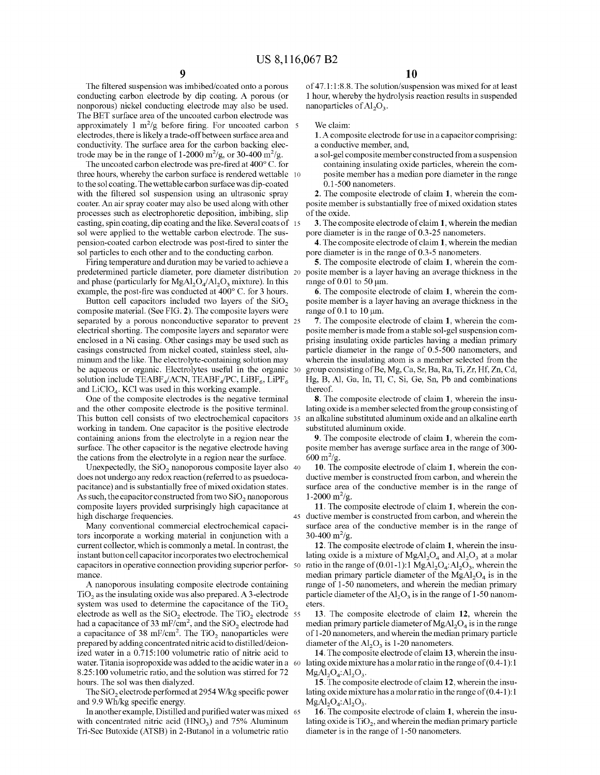The filtered suspension was imbibed/coated onto a porous conducting carbon electrode by dip coating. A porous (or nonporous) nickel conducting electrode may also be used. The BET surface area of the uncoated carbon electrode was approximately 1  $m^2/g$  before firing. For uncoated carbon  $5$ electrodes, there is likely a trade-off between surface area and conductivity. The surface area for the carbon backing electrode may be in the range of 1-2000 m<sup>2</sup>/g, or 30-400 m<sup>2</sup>/g.

The uncoated carbon electrode was pre-fired at 400° C. for three hours, whereby the carbon surface is rendered wettable 10 to the sol coating. The wettable carbon surface was dip-coated with the filtered sol suspension using an ultrasonic spray coater. An air spray coater may also be used along with other processes such as electrophoretic deposition, imbibing, slip casting, spin coating, dip coating and the like. Several coats of 15 sol were applied to the wettable carbon electrode. The suspension-coated carbon electrode was post-fired to sinter the sol particles to each other and to the conducting carbon.

Firing temperature and duration may be varied to achieve a predetermined particle diameter, pore diameter distribution 20 posite member is a layer having an average thickness in the and phase (particularly for  $MgAl_2O<sub>4</sub>/Al_2O<sub>3</sub>$  mixture). In this example, the post-fire was conducted at 400° C. for 3 hours.

Button cell capacitors included two layers of the  $SiO<sub>2</sub>$ composite material. (See FIG. **2).** The composite layers were separated by a porous nonconductive separator to prevent 25 electrical shorting. The composite layers and separator were enclosed in a Ni casing. Other casings may be used such as casings constructed from nickel coated, stainless steel, aluminum and the like. The electrolyte-containing solution may be aqueous or organic. Electrolytes useful in the organic 30 solution include TEABF<sub>4</sub>/ACN, TEABF<sub>4</sub>/PC, LiBF<sub>6</sub>, LiPF<sub>6</sub> and  $LiClO<sub>4</sub>$ . KCl was used in this working example.

One of the composite electrodes is the negative terminal and the other composite electrode is the positive terminal. This button cell consists of two electrochemical capacitors 35 working in tandem. One capacitor is the positive electrode containing anions from the electrolyte in a region near the surface. The other capacitor is the negative electrode having the cations from the electrolyte in a region near the surface.

Unexpectedly, the  $SiO<sub>2</sub>$  nanoporous composite layer also 40 does not undergo any redox reaction ( referred to as psuedocapacitance) and is substantially free of mixed oxidation states. As such, the capacitor constructed from two SiO<sub>2</sub> nanoporous  $1-2000 \text{ m}^2/\text{g}$ . composite layers provided surprisingly high capacitance at high discharge frequencies.

Many conventional commercial electrochemical capacitors incorporate a working material in conjunction with a current collector, which is commonly a metal. In contrast, the instant button cell capacitor incorporates two electrochemical capacitors in operative connection providing superior perfor- 50 mance.

A nanoporous insulating composite electrode containing  $TiO<sub>2</sub>$  as the insulating oxide was also prepared. A 3-electrode system was used to determine the capacitance of the  $TiO<sub>2</sub>$ electrode as well as the  $SiO<sub>2</sub>$  electrode. The TiO<sub>2</sub> electrode 55 had a capacitance of 33 mF/cm<sup>2</sup>, and the SiO<sub>2</sub> electrode had a capacitance of 38 mF/cm<sup>2</sup>. The  $TiO<sub>2</sub>$  nanoparticles were prepared by adding concentrated nitric acid to distilled/deionized water in a 0.715: 100 volumetric ratio of nitric acid to water. Titania isopropoxide was added to the acidic water in a 60 lating oxide mixture has a molar ratio in the range of (0.4-1):1 8.25:100 volumetric ratio, and the solution was stirred for 72 hours. The sol was then dialyzed.

The SiO<sub>2</sub> electrode performed at 2954 W/kg specific power and 9.9 Wh/kg specific energy.

In another example, Distilled and purified water was mixed 65 with concentrated nitric acid  $(HNO<sub>3</sub>)$  and 75% Aluminum Tri-Sec Butoxide (ATSB) in 2-Butanol in a volumetric ratio

of 47.1: 1:8.8. The solution/suspension was mixed for at least 1 hour, whereby the hydrolysis reaction results in suspended nanoparticles of  $Al_2O_3$ .

We claim:

**1.** A composite electrode for use in a capacitor comprising: a conductive member, and,

a sol-gel composite member constructed from a suspension containing insulating oxide particles, wherein the composite member has a median pore diameter in the range 0.1-500 nanometers.

**2.** The composite electrode of claim **1,** wherein the composite member is substantially free of mixed oxidation states of the oxide.

**3.** The composite electrode of claim **1,** wherein the median pore diameter is in the range of 0.3-25 nanometers.

**4.** The composite electrode of claim **1,** wherein the median pore diameter is in the range of 0.3-5 nanometers.

**5.** The composite electrode of claim **1,** wherein the comrange of  $0.01$  to  $50 \mu m$ .

**6.** The composite electrode of claim **1,** wherein the composite member is a layer having an average thickness in the range of  $0.1$  to  $10 \mu m$ .

**7.** The composite electrode of claim **1,** wherein the composite member is made from a stable sol-gel suspension comprising insulating oxide particles having a median primary particle diameter in the range of 0.5-500 nanometers, and wherein the insulating atom is a member selected from the group consisting of Be, Mg, Ca, Sr, Ba, Ra, Ti, Zr, Hf, Zn, Cd, Hg, B, Al, Ga, In, Tl, C, Si, Ge, Sn, Pb and combinations thereof.

**8.** The composite electrode of claim **1,** wherein the insulating oxide is a member selected from the group consisting of an alkaline substituted aluminum oxide and an alkaline earth substituted aluminum oxide.

**9.** The composite electrode of claim **1,** wherein the composite member has average surface area in the range of 300-  $600 \frac{\text{m}^2}{\text{g}}$ .

**10.** The composite electrode of claim **1,** wherein the conductive member is constructed from carbon, and wherein the surface area of the conductive member is in the range of

**11.** The composite electrode of claim **1,** wherein the con-45 ductive member is constructed from carbon, and wherein the surface area of the conductive member is in the range of  $30-400 \text{ m}^2/\text{g}$ .

**12.** The composite electrode of claim **1,** wherein the insulating oxide is a mixture of  $MgAl<sub>2</sub>O<sub>4</sub>$  and  $Al<sub>2</sub>O<sub>3</sub>$  at a molar ratio in the range of (0.01-1):1 MgAl<sub>2</sub>O<sub>4</sub>:Al<sub>2</sub>O<sub>3</sub>, wherein the median primary particle diameter of the  $MgAl<sub>2</sub>O<sub>4</sub>$  is in the range of 1-50 nanometers, and wherein the median primary particle diameter of the  $Al_2O_3$  is in the range of 1-50 nanometers

**13.** The composite electrode of claim **12,** wherein the median primary particle diameter of  $MgA1_2O_4$  is in the range of 1-20 nanometers, and wherein the median primary particle diameter of the  $Al_2O_3$  is 1-20 nanometers.

**14.** The composite electrode of claim **13,** wherein the insu- $MgAl<sub>2</sub>O<sub>4</sub>:Al<sub>2</sub>O<sub>3</sub>.$ 

**15.** The composite electrode of claim **12,** wherein the insulating oxide mixture has a molar ratio in the range of (0.4-1 ): 1  $MgAl<sub>2</sub>O<sub>4</sub>:Al<sub>2</sub>O<sub>3</sub>.$ 

**16.** The composite electrode of claim **1,** wherein the insulating oxide is  $TiO<sub>2</sub>$ , and wherein the median primary particle diameter is in the range of 1-50 nanometers.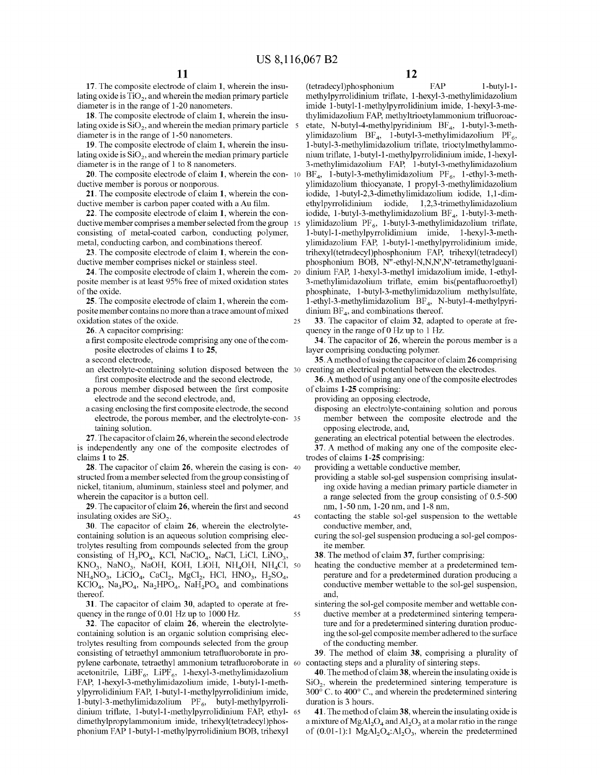25

**17.** The composite electrode of claim **1,** wherein the insulating oxide is  $TiO<sub>2</sub>$ , and wherein the median primary particle diameter is in the range of 1-20 nanometers.

lating oxide is  $SiO<sub>2</sub>$ , and wherein the median primary particle diameter is in the range of 1-50 nanometers.

**19.** The composite electrode of claim **1,** wherein the insulating oxide is  $SiO<sub>2</sub>$ , and wherein the median primary particle diameter is in the range of 1 to 8 nanometers.

**20.** The composite electrode of claim **1,** wherein the conductive member is porous or nonporous.

**21.** The composite electrode of claim **1,** wherein the conductive member is carbon paper coated with a Au film.

**22.** The composite electrode of claim **1,** wherein the conductive member comprises a member selected from the group 15 consisting of metal-coated carbon, conducting polymer, metal, conducting carbon, and combinations thereof.

**23.** The composite electrode of claim **1,** wherein the conductive member comprises nickel or stainless steel.

**24.** The composite electrode of claim **1,** wherein the composite member is at least 95% free of mixed oxidation states of the oxide.

**25.** The composite electrode of claim **1,** wherein the composite member contains no more than a trace amount of mixed oxidation states of the oxide.

**26.** A capacitor comprising:

a first composite electrode comprising any one of the composite electrodes of claims **1** to **25,** 

a second electrode,

- an electrolyte-containing solution disposed between the first composite electrode and the second electrode,
- a porous member disposed between the first composite electrode and the second electrode, and,
- a casing enclosing the first composite electrode, the second electrode, the porous member, and the electrolyte-con- 35 taining solution.

**27.** The capacitor of claim **26,** wherein the second electrode is independently any one of the composite electrodes of claims **1** to **25.** 

**28.** The capacitor of claim **26,** wherein the casing is con- <sup>40</sup> structed from a member selected from the group consisting of nickel, titanium, aluminum, stainless steel and polymer, and wherein the capacitor is a button cell.

**29.** The capacitor of claim **26,** wherein the first and second insulating oxides are  $SiO<sub>2</sub>$ . 45

**30.** The capacitor of claim **26,** wherein the electrolytecontaining solution is an aqueous solution comprising electrolytes resulting from compounds selected from the group consisting of  $H_3PO_4$ , KCl, NaClO<sub>4</sub>, NaCl, LiCl, LiNO<sub>3</sub>,  $KNO_3$ , NaNO<sub>3</sub>, NaOH, KOH, LiOH, NH<sub>4</sub>OH, NH<sub>4</sub>Cl, 50  $NH_4NO_3$ , LiClO<sub>4</sub>, CaCl<sub>2</sub>, MgCl<sub>2</sub>, HCl, HNO<sub>3</sub>, H<sub>2</sub>SO<sub>4</sub>,  $KClO<sub>4</sub>$ ,  $Na<sub>3</sub>PO<sub>4</sub>$ ,  $Na<sub>2</sub>HPO<sub>4</sub>$ ,  $NaH<sub>2</sub>PO<sub>4</sub>$  and combinations thereof.

**31.** The capacitor of claim **30,** adapted to operate at frequency in the range of 0.01 Hz up to 1000 Hz. 55

pylene carbonate, tetraethyl ammonium tetrafluoroborate in 60 contacting steps and a plurality of sintering steps. **32.** The capacitor of claim **26,** wherein the electrolytecontaining solution is an organic solution comprising electrolytes resulting from compounds selected from the group consisting of tetraethyl ammonium tetrafluoroborate in proacetonitrile, LiBF<sub>6</sub>, LiPF<sub>6</sub>, 1-hexyl-3-methylimidazolium FAP, l-hexyl-3-methylimidazolium imide, l-butyl-1-methylpyrrolidinium FAP, l-butyl-1-methylpyrrolidinium imide, l-butyl-3-methylimidazolium PF 6, butyl-methylpyrrolidinium triflate, l-butyl-1-methylpyrrolidinium FAP, ethyl- 65 dimethylpropylammonium imide, trihexyl(tetradecyl)phosphonium FAP l-butyl-1-methylpyrrolidinium BOB, trihexyl

**12** 

(tetradecyl)phosphonium FAP 1-butyl-1methylpyrrolidinium triflate, l-hexyl-3-methylimidazolium imide l-butyl-1-methylpyrrolidinium imide, l-hexyl-3-me-**18.** The composite electrode of claim **1,** wherein the insu- thylimidazolium FAP, methyltrioetylammonium trifluoroacetate, N-butyl-4-methylpyridinium  $BF<sub>4</sub>$ , 1-butyl-3-methylimidazolium BF<sub>4</sub>, 1-butyl-3-methylimidazolium PF<sub>6</sub>, l-butyl-3-methylimidazolium triflate, trioctylmethylammonium triflate, l-butyl-1-methylpyrrolidinium imide, l-hexyl-3-methylimidazolium FAP, l-butyl-3-methylimidazolium  $BF_4$ , 1-butyl-3-methylimidazolium  $PF_6$ , 1-ethyl-3-methylimidazolium thiocyanate, 1 propyl-3-methylimidazolium iodide, l-butyl-2,3-dimethylimidazolium iodide, 1,1-dimethylpyrrolidinium iodide, 1,2,3-trimethylimidazolium iodide, 1-butyl-3-methylimidazolium  $BF_4$ , 1-butyl-3-methylimidazolium PF $_6$ , 1-butyl-3-methylimidazolium triflate, l-butyl-1-methylpyrrolidimium imide, l-hexyl-3-methylimidazolium FAP, l-butyl-1-methylpyrrolidinium imide, trihexyl(tetradecyl)phosphonium FAP, trihexyl(tetradecyl) phosphonium BOB, N"-ethyl-N,N,N',N'-tetramethylguanidinium FAP, 1-hexyl-3-methyl imidazolium imide, 1-ethyl-3-methylimidazolium triflate, emim bis(pentafluoroethyl) phosphinate, l-butyl-3-methylimidazolium methylsulfate, l-ethyl-3-methylimidazolium BF <sup>4</sup> , N-butyl-4-methylpyridinium  $BF_{4}$ , and combinations thereof.

> **33.** The capacitor of claim **32,** adapted to operate at frequency in the range of0 Hz up to 1 Hz.

**34.** The capacitor of **26,** wherein the porous member is a layer comprising conducting polymer.

**35.** A method of using the capacitor of claim **26** comprising creating an electrical potential between the electrodes.

**36.** A method of using any one of the composite electrodes of claims **1-25** comprising:

providing an opposing electrode,

- disposing an electrolyte-containing solution and porous member between the composite electrode and the opposing electrode, and,
- generating an electrical potential between the electrodes. **37.** A method of making any one of the composite electrodes of claims **1-25** comprising:

providing a wettable conductive member,

- providing a stable sol-gel suspension comprising insulating oxide having a median primary particle diameter in a range selected from the group consisting of 0.5-500 nm, 1-50 nm, 1-20 nm, and 1-8 nm,
- contacting the stable sol-gel suspension to the wettable conductive member, and,
- curing the sol-gel suspension producing a sol-gel composite member.

**38.** The method of claim **37,** further comprising:

- heating the conductive member at a predetermined temperature and for a predetermined duration producing a conductive member wettable to the sol-gel suspension, and,
- sintering the sol-gel composite member and wettable conductive member at a predetermined sintering temperature and for a predetermined sintering duration producing the sol-gel composite member adhered to the surface of the conducting member.

**39.** The method of claim **38,** comprising a plurality of

**40.** The method of claim **38,** wherein the insulating oxide is  $SiO<sub>2</sub>$ , wherein the predetermined sintering temperature is 300° C. to 400° C., and wherein the predetermined sintering duration is 3 hours.

**41.** The method of claim **38,** wherein the insulating oxide is a mixture of MgAl<sub>2</sub>O<sub>4</sub> and Al<sub>2</sub>O<sub>3</sub> at a molar ratio in the range of  $(0.01-1)$ :1 MgAl<sub>2</sub>O<sub>4</sub>:Al<sub>2</sub>O<sub>3</sub>, wherein the predetermined